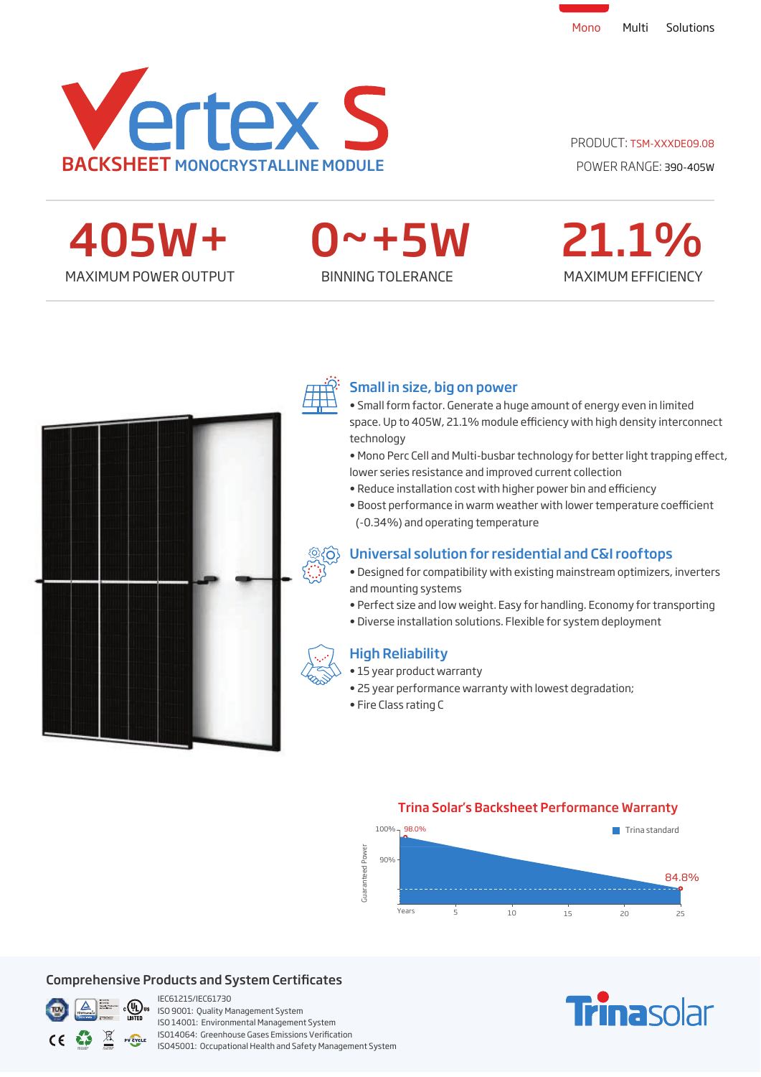

# PRODUCT: TSM-XXXDE09.08

MAXIMUM POWER OUTPUT BINNING TOLERANCE 405W+

0~+5W

# MAXIMUM EFFICIENCY 21.1%





# Small in size, big on power

- Small form factor. Generate a huge amount of energy even in limited space. Up to 405W, 21.1% module efficiency with high density interconnect technology
- Mono Perc Cell and Multi-busbar technology for better light trapping effect, lower series resistance and improved current collection
- Reduce installation cost with higher power bin and efficiency
- Boost performance in warm weather with lower temperature coefficient (-0.34%) and operating temperature



- Designed for compatibility with existing mainstream optimizers, inverters and mounting systems
- Perfect size and low weight. Easy for handling. Economy for transporting
- Diverse installation solutions. Flexible for system deployment

# High Reliability

- 15 year product warranty
- 25 year performance warranty with lowest degradation;
- Fire Class rating C



## Comprehensive Products and System Certificates



IEC61215/IEC61730 ISO 9001: Quality Management System ISO 14001: Environmental Management System ISO14064: Greenhouse Gases Emissions Verification ISO45001: Occupational Health and Safety Management System